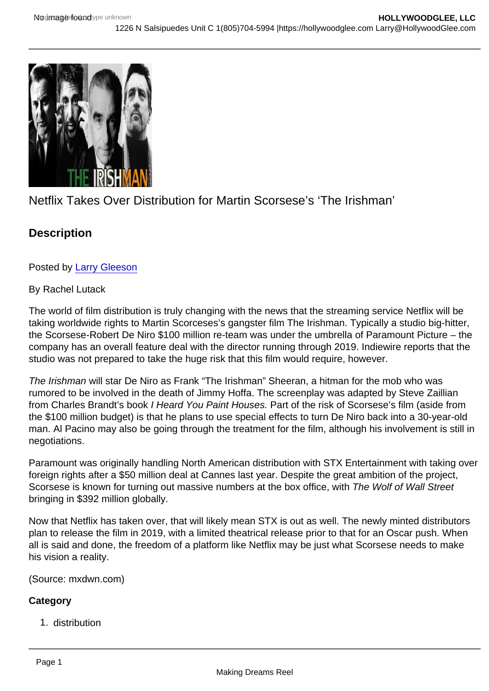## Netflix Takes Over Distribution for Martin Scorsese's 'The Irishman'

**Description** 

Posted by [Larry Gleeson](http://sbccfilmreviews.org/?s=Larry+Gleeson)

## By Rachel Lutack

The world of film distribution is truly changing with the news that the streaming service Netflix will be taking worldwide rights to Martin Scorceses's gangster film The Irishman. Typically a studio big-hitter, the Scorsese-Robert De Niro \$100 million re-team was under the umbrella of Paramount Picture – the company has an overall feature deal with the director running through 2019. Indiewire reports that the studio was not prepared to take the huge risk that this film would require, however.

The Irishman will star De Niro as Frank "The Irishman" Sheeran, a hitman for the mob who was rumored to be involved in the death of Jimmy Hoffa. The screenplay was adapted by Steve Zaillian from Charles Brandt's book I Heard You Paint Houses. Part of the risk of Scorsese's film (aside from the \$100 million budget) is that he plans to use special effects to turn De Niro back into a 30-year-old man. Al Pacino may also be going through the treatment for the film, although his involvement is still in negotiations.

Paramount was originally handling North American distribution with STX Entertainment with taking over foreign rights after a \$50 million deal at Cannes last year. Despite the great ambition of the project, Scorsese is known for turning out massive numbers at the box office, with The Wolf of Wall Street bringing in \$392 million globally.

Now that Netflix has taken over, that will likely mean STX is out as well. The newly minted distributors plan to release the film in 2019, with a limited theatrical release prior to that for an Oscar push. When all is said and done, the freedom of a platform like Netflix may be just what Scorsese needs to make his vision a reality.

(Source: mxdwn.com)

**Category** 

1. distribution